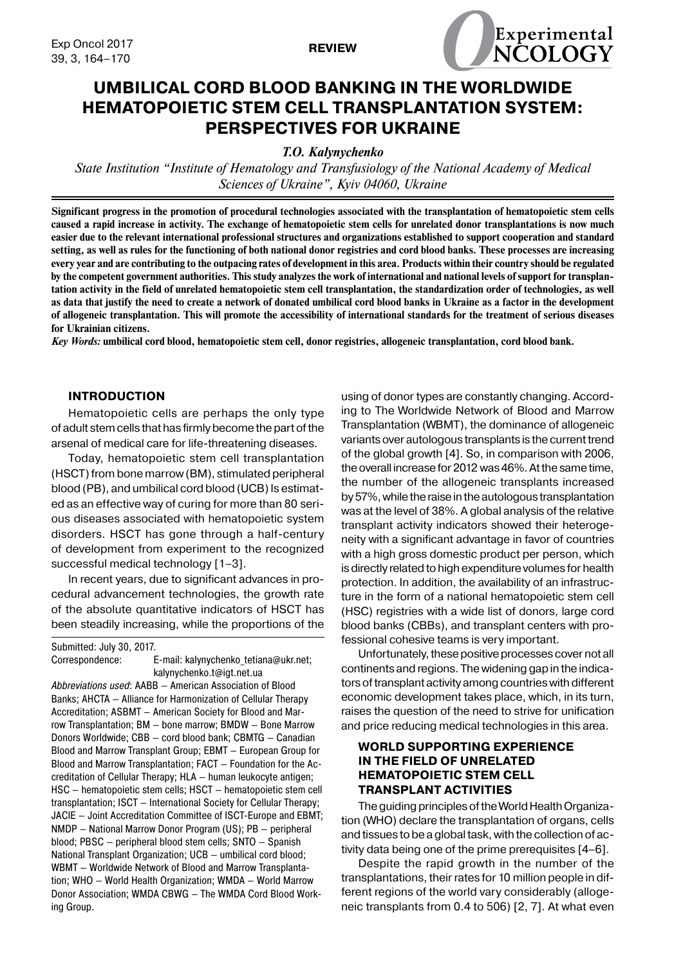

# **UMBILICAL CORD BLOOD BANKING IN THE WORLDWIDE HEMATOPOIETIC STEM CELL TRANSPLANTATION SYSTEM: PERSPECTIVES FOR UKRAINE**

*T.O. Kalynychenko*

*State Institution "Institute of Hematology and Transfusiology of the National Academy of Medical Sciences of Ukraine", Kyiv 04060, Ukraine*

**Significant progress in the promotion of procedural technologies associated with the transplantation of hematopoietic stem cells caused a rapid increase in activity. The exchange of hematopoietic stem cells for unrelated donor transplantations is now much easier due to the relevant international professional structures and organizations established to support cooperation and standard setting, as well as rules for the functioning of both national donor registries and cord blood banks. These processes are increasing every year and are contributing to the outpacing rates of development in this area. Products within their country should be regulated by the competent government authorities. This study analyzes the work of international and national levels of support for transplantation activity in the field of unrelated hematopoietic stem cell transplantation, the standardization order of technologies, as well as data that justify the need to create a network of donated umbilical cord blood banks in Ukraine as a factor in the development of allogeneic transplantation. This will promote the accessibility of international standards for the treatment of serious diseases for Ukrainian citizens.**

*Key Words:* **umbilical cord blood, hematopoietic stem cell, donor registries, allogeneic transplantation, cord blood bank.**

## **INTRODUCTION**

Hematopoietic cells are perhaps the only type of adult stem cells that has firmly become the part of the arsenal of medical care for life-threatening diseases.

Today, hematopoietic stem cell transplantation (HSCT) from bone marrow (BM), stimulated peripheral blood (PB), and umbilical cord blood (UCB) Is estimated as an effective way of curing for more than 80 serious diseases associated with hematopoietic system disorders. HSCT has gone through a half-century of development from experiment to the recognized successful medical technology [1–3].

In recent years, due to significant advances in procedural advancement technologies, the growth rate of the absolute quantitative indicators of HSCT has been steadily increasing, while the proportions of the

Submitted: July 30, 2017.

Correspondence: E-mail: kalynychenko\_tetiana@ukr.net; kalynychenko.t@igt.net.ua *Abbreviations used*: AABB — American Association of Blood Banks; AHCTA — Alliance for Harmonization of Cellular Therapy Accreditation; ASBMT — American Society for Blood and Marrow Transplantation; BM — bone marrow; BMDW — Bone Marrow Donors Worldwide; СBB — cord blood bank; CBMTG — Canadian Blood and Marrow Transplant Group; EBMT — European Group for Blood and Marrow Transplantation; FACT — Foundation for the Accreditation of Cellular Therapy; HLA — human leukocyte antigen; HSC — hematopoietic stem cells; HSCT — hematopoietic stem cell transplantation; ISCT — International Society for Cellular Therapy; JACIE — Joint Accreditation Committee of ISCT-Europe and EBMT; NMDP — National Marrow Donor Program (US); PB — peripheral blood; PBSC — peripheral blood stem cells; SNTO — Spanish National Transplant Organization; UCB — umbilical cord blood; WBMT — Worldwide Network of Blood and Marrow Transplantation; WHO — World Health Organization; WMDA — World Marrow Donor Association; WMDA CBWG — The WMDA Cord Blood Working Group.

using of donor types are constantly changing. According to The Worldwide Network of Blood and Marrow Transplantation (WBMT), the dominance of allogeneic variants over autologous transplants is the current trend of the global growth [4]. So, in comparison with 2006, the overall increase for 2012 was 46%. At the same time, the number of the allogeneic transplants increased by 57%, while the raise in the autologous transplantation was at the level of 38%. A global analysis of the relative transplant activity indicators showed their heterogeneity with a significant advantage in favor of countries with a high gross domestic product per person, which is directly related to high expenditure volumes for health protection. In addition, the availability of an infrastructure in the form of a national hematopoietic stem cell (HSC) registries with a wide list of donors, large cord blood banks (CBBs), and transplant centers with professional cohesive teams is very important.

Unfortunately, these positive processes cover not all continents and regions. The widening gap in the indicators of transplant activity among countries with different economic development takes place, which, in its turn, raises the question of the need to strive for unification and price reducing medical technologies in this area.

# **WORLD SUPPORTING EXPERIENCE IN THE FIELD OF unrelated hematopoietic stem cell TRANSPLANT ACTIVITIES**

The guiding principles of the World Health Organization (WHO) declare the transplantation of organs, cells and tissues to be a global task, with the collection of activity data being one of the prime prerequisites [4–6].

Despite the rapid growth in the number of the transplantations, their rates for 10 million people in different regions of the world vary considerably (allogeneic transplants from 0.4 to 506) [2, 7]. At what even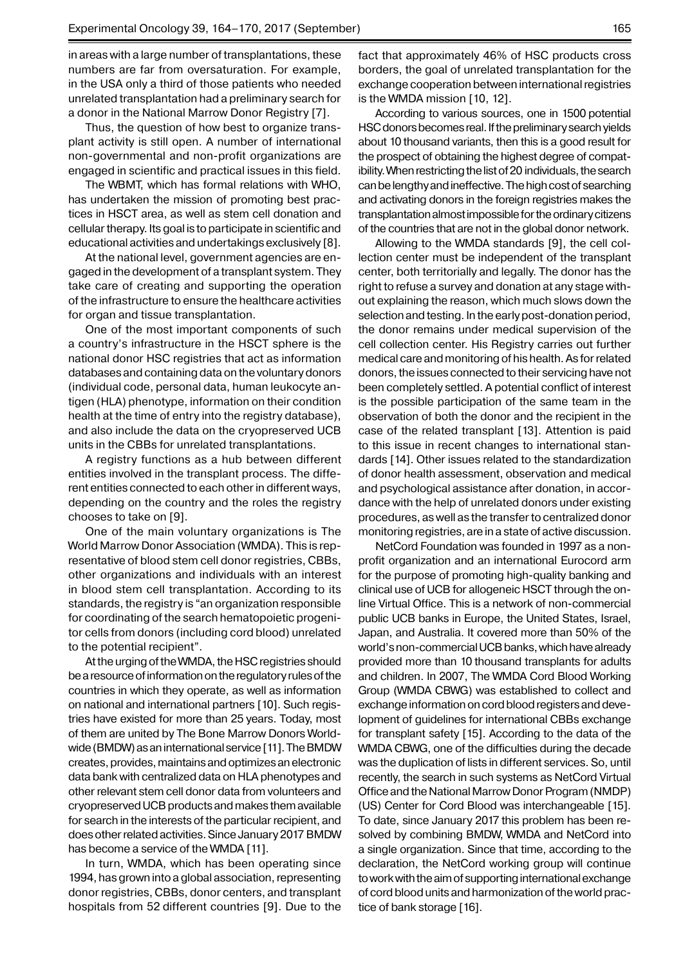in areas with a large number of transplantations, these numbers are far from oversaturation. For example, in the USA only a third of those patients who needed unrelated transplantation had a preliminary search for a donor in the National Marrow Donor Registry [7].

Thus, the question of how best to organize transplant activity is still open. A number of international non-governmental and non-profit organizations are engaged in scientific and practical issues in this field.

The WBMT, which has formal relations with WHO, has undertaken the mission of promoting best practices in HSCT area, as well as stem cell donation and cellular therapy. Its goal is to participate in scientific and educational activities and undertakings exclusively [8].

At the national level, government agencies are engaged in the development of a transplant system. They take care of creating and supporting the operation of the infrastructure to ensure the healthcare activities for organ and tissue transplantation.

One of the most important components of such a country's infrastructure in the HSCT sphere is the national donor HSC registries that act as information databases and containing data on the voluntary donors (individual code, personal data, human leukocyte antigen (HLA) phenotype, information on their condition health at the time of entry into the registry database), and also include the data on the cryopreserved UCB units in the CBBs for unrelated transplantations.

A registry functions as a hub between different entities involved in the transplant process. The different entities connected to each other in different ways, depending on the country and the roles the registry chooses to take on [9].

One of the main voluntary organizations is The World Marrow Donor Association (WMDA). This is representative of blood stem cell donor registries, CBBs, other organizations and individuals with an interest in blood stem cell transplantation. According to its standards, the registry is "an organization responsible for coordinating of the search hematopoietic progenitor cells from donors (including cord blood) unrelated to the potential recipient".

At the urging of the WMDA, the HSC registries should be a resource of information on the regulatory rules of the countries in which they operate, as well as information on national and international partners [10]. Such registries have existed for more than 25 years. Today, most of them are united by The Bone Marrow Donors Worldwide (BMDW) as an international service [11]. The BMDW creates, provides, maintains and optimizes an electronic data bank with centralized data on HLA phenotypes and other relevant stem cell donor data from volunteers and cryopreserved UCB products and makes them available for search in the interests of the particular recipient, and does other related activities. Since January 2017 BMDW has become a service of the WMDA [11].

In turn, WMDA, which has been operating since 1994, has grown into a global association, representing donor registries, CBBs, donor centers, and transplant hospitals from 52 different countries [9]. Due to the fact that approximately 46% of HSC products cross borders, the goal of unrelated transplantation for the exchange cooperation between international registries is the WMDA mission [10, 12].

According to various sources, one in 1500 potential HSC donors becomes real. If the preliminary search yields about 10 thousand variants, then this is a good result for the prospect of obtaining the highest degree of compatibility. When restricting the list of 20 individuals, the search can be lengthy and ineffective. The high cost of searching and activating donors in the foreign registries makes the transplantation almost impossible for the ordinary citizens of the countries that are not in the global donor network.

Allowing to the WMDA standards [9], the cell collection center must be independent of the transplant center, both territorially and legally. The donor has the right to refuse a survey and donation at any stage without explaining the reason, which much slows down the selection and testing. In the early post-donation period, the donor remains under medical supervision of the cell collection center. His Registry carries out further medical care and monitoring of his health. As for related donors, the issues connected to their servicing have not been completely settled. A potential conflict of interest is the possible participation of the same team in the observation of both the donor and the recipient in the case of the related transplant [13]. Attention is paid to this issue in recent changes to international standards [14]. Other issues related to the standardization of donor health assessment, observation and medical and psychological assistance after donation, in accordance with the help of unrelated donors under existing procedures, as well as the transfer to centralized donor monitoring registries, are in a state of active discussion.

NetCord Foundation was founded in 1997 as a nonprofit organization and an international Eurocord arm for the purpose of promoting high-quality banking and clinical use of UCB for allogeneic HSCT through the online Virtual Office. This is a network of non-commercial public UCB banks in Europe, the United States, Israel, Japan, and Australia. It covered more than 50% of the world's non-commercial UCB banks, which have already provided more than 10 thousand transplants for adults and children. In 2007, The WMDA Cord Blood Working Group (WMDA CBWG) was established to collect and exchange information on cord blood registers and development of guidelines for international CBBs exchange for transplant safety [15]. According to the data of the WMDA CBWG, one of the difficulties during the decade was the duplication of lists in different services. So, until recently, the search in such systems as NetCord Virtual Office and the National Marrow Donor Program (NMDP) (US) Center for Cord Blood was interchangeable [15]. To date, since January 2017 this problem has been resolved by combining BMDW, WMDA and NetCord into a single organization. Since that time, according to the declaration, the NetCord working group will continue to work with the aim of supporting international exchange of cord blood units and harmonization of the world practice of bank storage [16].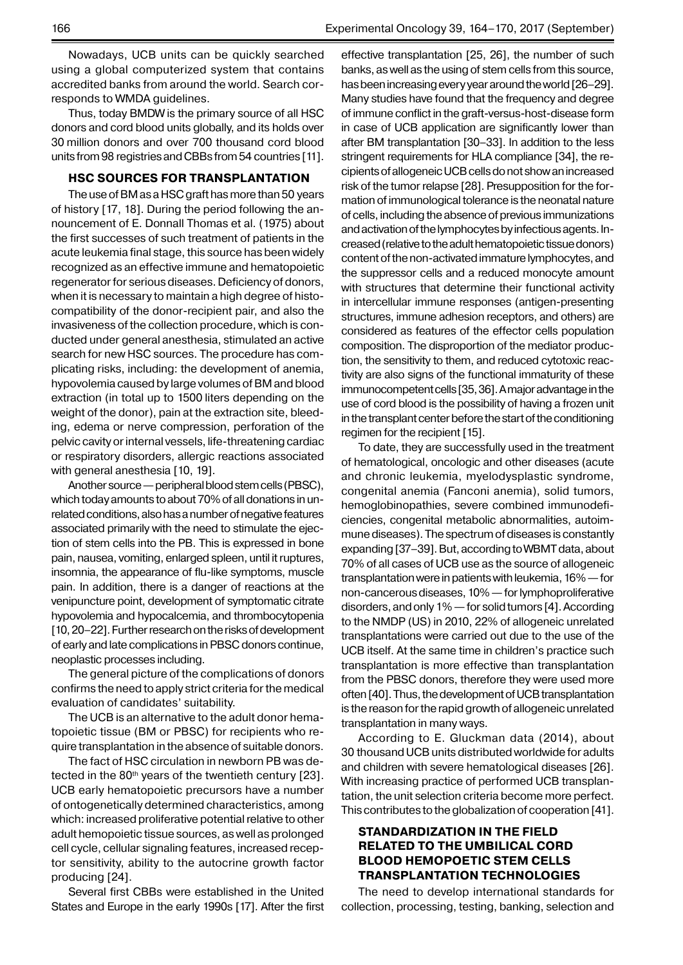Nowadays, UCB units can be quickly searched using a global computerized system that contains accredited banks from around the world. Search corresponds to WMDA guidelines.

Thus, today BMDW is the primary source of all HSC donors and cord blood units globally, and its holds over 30 million donors and over 700 thousand cord blood units from 98 registries and CBBs from 54 countries [11].

## **HSC SOURCES FOR TRANSPLANTATION**

The use of BM as a HSC graft has more than 50 years of history [17, 18]. During the period following the announcement of E. Donnall Thomas et al. (1975) about the first successes of such treatment of patients in the acute leukemia final stage, this source has been widely recognized as an effective immune and hematopoietic regenerator for serious diseases. Deficiency of donors, when it is necessary to maintain a high degree of histocompatibility of the donor-recipient pair, and also the invasiveness of the collection procedure, which is conducted under general anesthesia, stimulated an active search for new HSC sources. The procedure has complicating risks, including: the development of anemia, hypovolemia caused by large volumes of BM and blood extraction (in total up to 1500 liters depending on the weight of the donor), pain at the extraction site, bleeding, edema or nerve compression, perforation of the pelvic cavity or internal vessels, life-threatening cardiac or respiratory disorders, allergic reactions associated with general anesthesia [10, 19].

Another source— peripheral blood stem cells (PBSC), which today amounts to about 70% of all donations in unrelated conditions, also has a number of negative features associated primarily with the need to stimulate the ejection of stem cells into the PB. This is expressed in bone pain, nausea, vomiting, enlarged spleen, until it ruptures, insomnia, the appearance of flu-like symptoms, muscle pain. In addition, there is a danger of reactions at the venipuncture point, development of symptomatic citrate hypovolemia and hypocalcemia, and thrombocytopenia [10, 20–22]. Further research on the risks of development of early and late complications in PBSC donors continue, neoplastic processes including.

The general picture of the complications of donors confirms the need to apply strict criteria for the medical evaluation of candidates' suitability.

The UCB is an alternative to the adult donor hematopoietic tissue (BM or PBSC) for recipients who require transplantation in the absence of suitable donors.

The fact of HSC circulation in newborn PB was detected in the  $80<sup>th</sup>$  years of the twentieth century [23]. UCB early hematopoietic precursors have a number of ontogenetically determined characteristics, among which: increased proliferative potential relative to other adult hemopoietic tissue sources, as well as prolonged cell cycle, cellular signaling features, increased receptor sensitivity, ability to the autocrine growth factor producing [24].

Several first CBBs were established in the United States and Europe in the early 1990s [17]. After the first effective transplantation [25, 26], the number of such banks, as well as the using of stem cells from this source, has been increasing every year around the world [26–29]. Many studies have found that the frequency and degree of immune conflict in the graft-versus-host-disease form in case of UCB application are significantly lower than after BM transplantation [30–33]. In addition to the less stringent requirements for HLA compliance [34], the recipients of allogeneic UCB cells do not show an increased risk of the tumor relapse [28]. Presupposition for the formation of immunological tolerance is the neonatal nature of cells, including the absence of previous immunizations and activation of the lymphocytes by infectious agents. Increased (relative to the adult hematopoietic tissue donors) content of the non-activated immature lymphocytes, and the suppressor cells and a reduced monocyte amount with structures that determine their functional activity in intercellular immune responses (antigen-presenting structures, immune adhesion receptors, and others) are considered as features of the effector cells population composition. The disproportion of the mediator production, the sensitivity to them, and reduced cytotoxic reactivity are also signs of the functional immaturity of these immunocompetent cells [35, 36]. A major advantage in the use of cord blood is the possibility of having a frozen unit in the transplant center before the start of the conditioning regimen for the recipient [15].

To date, they are successfully used in the treatment of hematological, oncologic and other diseases (acute and chronic leukemia, myelodysplastic syndrome, congenital anemia (Fanconi anemia), solid tumors, hemoglobinopathies, severe combined immunodeficiencies, congenital metabolic abnormalities, autoimmune diseases). The spectrum of diseases is constantly expanding [37–39]. But, according to WBMT data, about 70% of all cases of UCB use as the source of allogeneic transplantation were in patients with leukemia, 16%— for non-cancerous diseases, 10%— for lymphoproliferative disorders, and only 1%— for solid tumors [4]. According to the NMDP (US) in 2010, 22% of allogeneic unrelated transplantations were carried out due to the use of the UCB itself. At the same time in children's practice such transplantation is more effective than transplantation from the PBSC donors, therefore they were used more often [40]. Thus, the development of UCB transplantation is the reason for the rapid growth of allogeneic unrelated transplantation in many ways.

According to E. Gluckman data (2014), about 30 thousand UCB units distributed worldwide for adults and children with severe hematological diseases [26]. With increasing practice of performed UCB transplantation, the unit selection criteria become more perfect. This contributes to the globalization of cooperation [41].

## **STANDARDIZATION IN THE FIELD RELATED TO THE UMBILICAL CORD BLOOD HEMOPOETIC STEM CELLS TRANSPLANTATION TECHNOLOGIES**

The need to develop international standards for collection, processing, testing, banking, selection and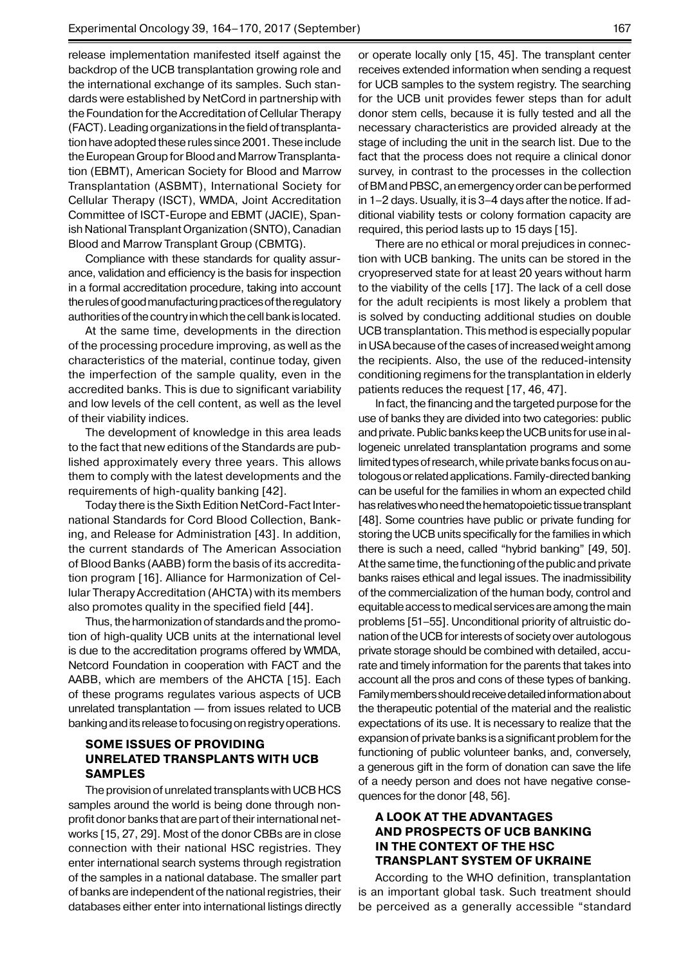release implementation manifested itself against the backdrop of the UCB transplantation growing role and the international exchange of its samples. Such standards were established by NetCord in partnership with the Foundation for the Accreditation of Cellular Therapy (FACT). Leading organizations in the field of transplantation have adopted these rules since 2001. These include the European Group for Blood and Marrow Transplantation (EBMT), American Society for Blood and Marrow Transplantation (ASBMT), International Society for Cellular Therapy (ISCT), WMDA, Joint Accreditation Committee of ISCT-Europe and EBMT (JACIE), Spanish National Transplant Organization (SNTO), Canadian Blood and Marrow Transplant Group (CBMTG).

Compliance with these standards for quality assurance, validation and efficiency is the basis for inspection in a formal accreditation procedure, taking into account the rules of good manufacturing practices of the regulatory authorities of the country in which the cell bank is located.

At the same time, developments in the direction of the processing procedure improving, as well as the characteristics of the material, continue today, given the imperfection of the sample quality, even in the accredited banks. This is due to significant variability and low levels of the cell content, as well as the level of their viability indices.

The development of knowledge in this area leads to the fact that new editions of the Standards are published approximately every three years. This allows them to comply with the latest developments and the requirements of high-quality banking [42].

Today there is the Sixth Edition NetCord-Fact International Standards for Cord Blood Collection, Banking, and Release for Administration [43]. In addition, the current standards of The American Association of Blood Banks (AABB) form the basis of its accreditation program [16]. Alliance for Harmonization of Cellular Therapy Accreditation (AHCTA) with its members also promotes quality in the specified field [44].

Thus, the harmonization of standards and the promotion of high-quality UCB units at the international level is due to the accreditation programs offered by WMDA, Netcord Foundation in cooperation with FACT and the AABB, which are members of the AHCTA [15]. Each of these programs regulates various aspects of UCB unrelated transplantation — from issues related to UCB banking and its release to focusing on registry operations.

#### **Some issues of providing unrelated transplants with UCB SAMPLES samples**

The provision of unrelated transplants with UCB HCS samples around the world is being done through nonprofit donor banks that are part of their international networks [15, 27, 29]. Most of the donor CBBs are in close connection with their national HSC registries. They enter international search systems through registration of the samples in a national database. The smaller part of banks are independent of the national registries, their databases either enter into international listings directly

or operate locally only [15, 45]. The transplant center receives extended information when sending a request for UCB samples to the system registry. The searching for the UCB unit provides fewer steps than for adult donor stem cells, because it is fully tested and all the necessary characteristics are provided already at the stage of including the unit in the search list. Due to the fact that the process does not require a clinical donor survey, in contrast to the processes in the collection of BM and PBSC, an emergency order can be performed in 1–2 days. Usually, it is 3–4 days after the notice. If additional viability tests or colony formation capacity are required, this period lasts up to 15 days [15].

There are no ethical or moral prejudices in connection with UCB banking. The units can be stored in the cryopreserved state for at least 20 years without harm to the viability of the cells [17]. The lack of a cell dose for the adult recipients is most likely a problem that is solved by conducting additional studies on double UCB transplantation. This method is especially popular in USA because of the cases of increased weight among the recipients. Also, the use of the reduced-intensity conditioning regimens for the transplantation in elderly patients reduces the request [17, 46, 47].

In fact, the financing and the targeted purpose for the use of banks they are divided into two categories: public and private. Public banks keep the UCB units for use in allogeneic unrelated transplantation programs and some limited types of research, while private banks focus on autologous or related applications. Family-directed banking can be useful for the families in whom an expected child has relatives who need the hematopoietic tissue transplant [48]. Some countries have public or private funding for storing the UCB units specifically for the families in which there is such a need, called "hybrid banking" [49, 50]. At the same time, the functioning of the public and private banks raises ethical and legal issues. The inadmissibility of the commercialization of the human body, control and equitable access to medical services are among the main problems [51–55]. Unconditional priority of altruistic donation of the UCB for interests of society over autologous private storage should be combined with detailed, accurate and timely information for the parents that takes into account all the pros and cons of these types of banking. Family members should receive detailed information about the therapeutic potential of the material and the realistic expectations of its use. It is necessary to realize that the expansion of private banks is a significant problem for the functioning of public volunteer banks, and, conversely, a generous gift in the form of donation can save the life of a needy person and does not have negative consequences for the donor [48, 56].

# **A look at the advantages and prospects of UCB banking in the context of the HSC transplant system OF UKRAINE**

According to the WHO definition, transplantation is an important global task. Such treatment should be perceived as a generally accessible "standard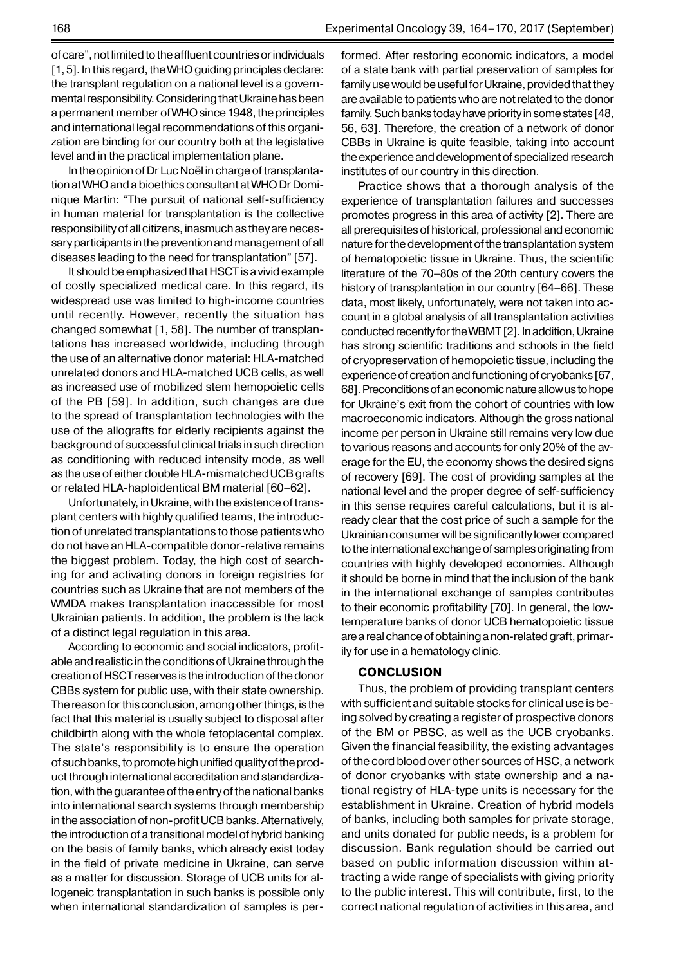In the opinion of Dr Luc Noël in charge of transplantation at WHO and a bioethics consultant at WHO Dr Dominique Martin: "The pursuit of national self-sufficiency in human material for transplantation is the collective responsibility of all citizens, inasmuch as they are necessary participants in the prevention and management of all diseases leading to the need for transplantation" [57].

It should be emphasized that HSCT is a vivid example of costly specialized medical care. In this regard, its widespread use was limited to high-income countries until recently. However, recently the situation has changed somewhat [1, 58]. The number of transplantations has increased worldwide, including through the use of an alternative donor material: HLA-matched unrelated donors and HLA-matched UCB cells, as well as increased use of mobilized stem hemopoietic cells of the PB [59]. In addition, such changes are due to the spread of transplantation technologies with the use of the allografts for elderly recipients against the background of successful clinical trials in such direction as conditioning with reduced intensity mode, as well as the use of either double HLA-mismatched UCB grafts or related HLA-haploidentical BM material [60–62].

Unfortunately, in Ukraine, with the existence of transplant centers with highly qualified teams, the introduction of unrelated transplantations to those patients who do not have an HLA-compatible donor-relative remains the biggest problem. Today, the high cost of searching for and activating donors in foreign registries for countries such as Ukraine that are not members of the WMDA makes transplantation inaccessible for most Ukrainian patients. In addition, the problem is the lack of a distinct legal regulation in this area.

According to economic and social indicators, profitable and realistic in the conditions of Ukraine through the creation of HSCT reserves is the introduction of the donor CBBs system for public use, with their state ownership. The reason for this conclusion, among other things, is the fact that this material is usually subject to disposal after childbirth along with the whole fetoplacental complex. The state's responsibility is to ensure the operation of such banks, to promote high unified quality of the product through international accreditation and standardization, with the guarantee of the entry of the national banks into international search systems through membership in the association of non-profit UCB banks. Alternatively, the introduction of a transitional model of hybrid banking on the basis of family banks, which already exist today in the field of private medicine in Ukraine, can serve as a matter for discussion. Storage of UCB units for allogeneic transplantation in such banks is possible only when international standardization of samples is performed. After restoring economic indicators, a model of a state bank with partial preservation of samples for family use would be useful for Ukraine, provided that they are available to patients who are not related to the donor family. Such banks today have priority in some states [48, 56, 63]. Therefore, the creation of a network of donor CBBs in Ukraine is quite feasible, taking into account the experience and development of specialized research institutes of our country in this direction.

Practice shows that a thorough analysis of the experience of transplantation failures and successes promotes progress in this area of activity [2]. There are all prerequisites of historical, professional and economic nature for the development of the transplantation system of hematopoietic tissue in Ukraine. Thus, the scientific literature of the 70–80s of the 20th century covers the history of transplantation in our country [64–66]. These data, most likely, unfortunately, were not taken into account in a global analysis of all transplantation activities conducted recently for the WBMT [2]. In addition, Ukraine has strong scientific traditions and schools in the field of cryopreservation of hemopoietic tissue, including the experience of creation and functioning of cryobanks [67, 68]. Preconditions of an economic nature allow us to hope for Ukraine's exit from the cohort of countries with low macroeconomic indicators. Although the gross national income per person in Ukraine still remains very low due to various reasons and accounts for only 20% of the average for the EU, the economy shows the desired signs of recovery [69]. The cost of providing samples at the national level and the proper degree of self-sufficiency in this sense requires careful calculations, but it is already clear that the cost price of such a sample for the Ukrainian consumer will be significantly lower compared to the international exchange of samples originating from countries with highly developed economies. Although it should be borne in mind that the inclusion of the bank in the international exchange of samples contributes to their economic profitability [70]. In general, the lowtemperature banks of donor UCB hematopoietic tissue are a real chance of obtaining a non-related graft, primarily for use in a hematology clinic.

#### **CONCLUSION**

Thus, the problem of providing transplant centers with sufficient and suitable stocks for clinical use is being solved by creating a register of prospective donors of the BM or PBSC, as well as the UCB cryobanks. Given the financial feasibility, the existing advantages of the cord blood over other sources of HSC, a network of donor cryobanks with state ownership and a national registry of HLA-type units is necessary for the establishment in Ukraine. Creation of hybrid models of banks, including both samples for private storage, and units donated for public needs, is a problem for discussion. Bank regulation should be carried out based on public information discussion within attracting a wide range of specialists with giving priority to the public interest. This will contribute, first, to the correct national regulation of activities in this area, and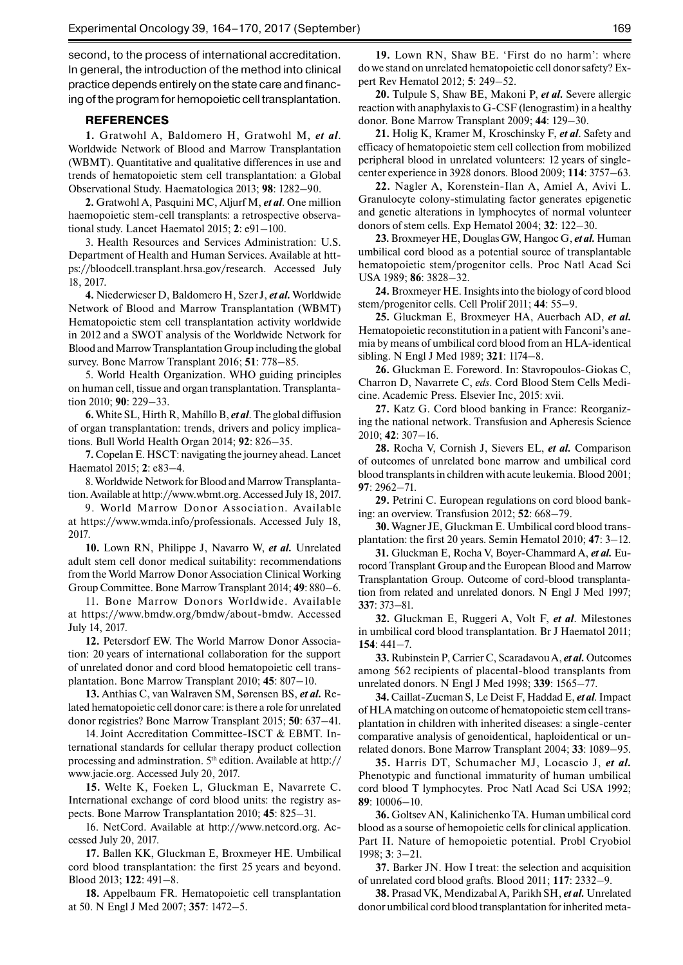second, to the process of international accreditation. In general, the introduction of the method into clinical practice depends entirely on the state care and financing of the program for hemopoietic cell transplantation.

#### **REFERENCES**

**1.** Gratwohl A, Baldomero H, Gratwohl M, *et al*. Worldwide Network of Blood and Marrow Transplantation (WBMT). Quantitative and qualitative differences in use and trends of hematopoietic stem cell transplantation: a Global Observational Study. Haematologica 2013; **98**: 1282–90.

**2.** Gratwohl A, Pasquini MC, Aljurf M, *et al*. One million haemopoietic stem-cell transplants: a retrospective observational study. Lancet Haematol 2015; **2**: e91–100.

3. Health Resources and Services Administration: U.S. Department of Health and Human Services. Available at https://bloodcell.transplant.hrsa.gov/research. Accessed July 18, 2017.

**4.** Niederwieser D, Baldomero H, Szer J, *et al.* Worldwide Network of Blood and Marrow Transplantation (WBMT) Hematopoietic stem cell transplantation activity worldwide in 2012 and a SWOT analysis of the Worldwide Network for Blood and Marrow Transplantation Group including the global survey. Bone Marrow Transplant 2016; **51**: 778–85.

5. World Health Organization. WHO guiding principles on human cell, tissue and organ transplantation. Transplantation 2010; **90**: 229–33.

**6.** White SL, Hirth R, Mahíllo B, *et al*. The global diffusion of organ transplantation: trends, drivers and policy implications. Bull World Health Organ 2014; **92**: 826–35.

**7.** Copelan E. HSCT: navigating the journey ahead. Lancet Haematol 2015; **2**: e83–4.

8. Worldwide Network for Blood and Marrow Transplantation.Available at http://www.wbmt.org. Accessed July 18, 2017.

9. World Marrow Donor Association. Available at https://www.wmda.info/professionals. Accessed July 18, 2017.

**10.** Lown RN, Philippe J, Navarro W, *et al.* Unrelated adult stem cell donor medical suitability: recommendations from the World Marrow Donor Association Clinical Working Group Committee. Bone Marrow Transplant 2014; **49**: 880–6.

11. Bone Marrow Donors Worldwide. Available at https://www.bmdw.org/bmdw/about-bmdw. Accessed July 14, 2017.

**12.** Petersdorf EW. The World Marrow Donor Association: 20 years of international collaboration for the support of unrelated donor and cord blood hematopoietic cell transplantation. Bone Marrow Transplant 2010; **45**: 807–10.

**13.** Anthias C, van Walraven SM, Sørensen BS, *et al.* Related hematopoietic cell donor care: is there a role for unrelated donor registries? Bone Marrow Transplant 2015; **50**: 637–41.

14. Joint Accreditation Committee-ISCT & EBMT. International standards for cellular therapy product collection processing and adminstration. 5<sup>th</sup> edition. Available at http:// www.jacie.org. Accessed July 20, 2017.

**15.** Welte K, Foeken L, Gluckman E, Navarrete C. International exchange of cord blood units: the registry aspects. Bone Marrow Transplantation 2010; **45**: 825–31.

16. NetCord. Available at http://www.netcord.org. Accessed July 20, 2017.

**17.** Ballen KK, Gluckman E, Broxmeyer HE. Umbilical cord blood transplantation: the first 25 years and beyond. Blood 2013; **122**: 491–8.

**18.** Appelbaum FR. Hematopoietic cell transplantation at 50. N Engl J Med 2007; **357**: 1472–5.

**19.** Lown RN, Shaw BE. 'First do no harm': where do we stand on unrelated hematopoietic cell donor safety? Expert Rev Hematol 2012; **5**: 249–52.

**20.** Tulpule S, Shaw BE, Makoni P, *et al.* Severe allergic reaction with anaphylaxis to G-CSF (lenograstim) in a healthy donor. Bone Marrow Transplant 2009; **44**: 129–30.

**21.** Holig K, Kramer M, Kroschinsky F, *et al*. Safety and efficacy of hematopoietic stem cell collection from mobilized peripheral blood in unrelated volunteers: 12 years of singlecenter experience in 3928 donors. Blood 2009; **114**: 3757–63.

**22.** Nagler A, Korenstein-Ilan A, Amiel A, Avivi L. Granulocyte colony-stimulating factor generates epigenetic and genetic alterations in lymphocytes of normal volunteer donors of stem cells. Exp Hematol 2004; **32**: 122–30.

**23.** Broxmeyer HE, Douglas GW, Hangoc G, *et al.* Human umbilical cord blood as a potential source of transplantable hematopoietic stem/progenitor cells. Proc Natl Acad Sci USA 1989; **86**: 3828–32.

**24.** Broxmeyer HE. Insights into the biology of cord blood stem/progenitor cells. Cell Prolif 2011; **44**: 55–9.

**25.** Gluckman E, Broxmeyer HA, Auerbach AD, *et al.* Hematopoietic reconstitution in a patient with Fanconi's anemia by means of umbilical cord blood from an HLA-identical sibling. N Engl J Med 1989; **321**: 1174–8.

**26.** Gluckman E. Foreword. In: Stavropoulos-Giokas C, Charron D, Navarrete C, *eds*. Cord Blood Stem Cells Medicine. Academic Press. Elsevier Inc, 2015: xvii.

**27.** Katz G. Cord blood banking in France: Reorganizing the national network. Transfusion and Apheresis Science 2010; **42**: 307–16.

**28.** Rocha V, Cornish J, Sievers EL, *et al.* Comparison of outcomes of unrelated bone marrow and umbilical cord blood transplants in children with acute leukemia. Blood 2001; **97**: 2962–71.

**29.** Petrini C. European regulations on cord blood banking: an overview. Transfusion 2012; **52**: 668–79.

**30.** Wagner JE, Gluckman E. Umbilical cord blood transplantation: the first 20 years. Semin Hematol 2010; **47**: 3–12.

**31.** Gluckman E, Rocha V, Boyer-Chammard A, *et al.* Eurocord Transplant Group and the European Blood and Marrow Transplantation Group. Outcome of cord-blood transplantation from related and unrelated donors. N Engl J Med 1997; **337**: 373–81.

**32.** Gluckman E, Ruggeri A, Volt F, *et al*. Milestones in umbilical cord blood transplantation. Br J Haematol 2011; **154**: 441–7.

**33.** Rubinstein P, Carrier C, Scaradavou A, *et al.* Outcomes among 562 recipients of placental-blood transplants from unrelated donors. N Engl J Med 1998; **339**: 1565–77.

**34.** Caillat-Zucman S, Le Deist F, Haddad E, *et al.* Impact of HLA matching on outcome of hematopoietic stem cell transplantation in children with inherited diseases: a single-center comparative analysis of genoidentical, haploidentical or unrelated donors. Bone Marrow Transplant 2004; **33**: 1089–95.

**35.** Harris DT, Schumacher MJ, Locascio J, *et al.* Phenotypic and functional immaturity of human umbilical cord blood T lymphocytes. Proc Natl Acad Sci USA 1992; **89**: 10006–10.

**36.** Goltsev AN, Kalinichenko TA. Human umbilical cord blood as a sourse of hemopoietic cells for clinical application. Part II. Nature of hemopoietic potential. Probl Cryobiol 1998; **3**: 3–21.

**37.** Barker JN. How I treat: the selection and acquisition of unrelated cord blood grafts. Blood 2011; **117**: 2332–9.

**38.** Prasad VK, Mendizabal A, Parikh SH, *et al.* Unrelated donor umbilical cord blood transplantation for inherited meta